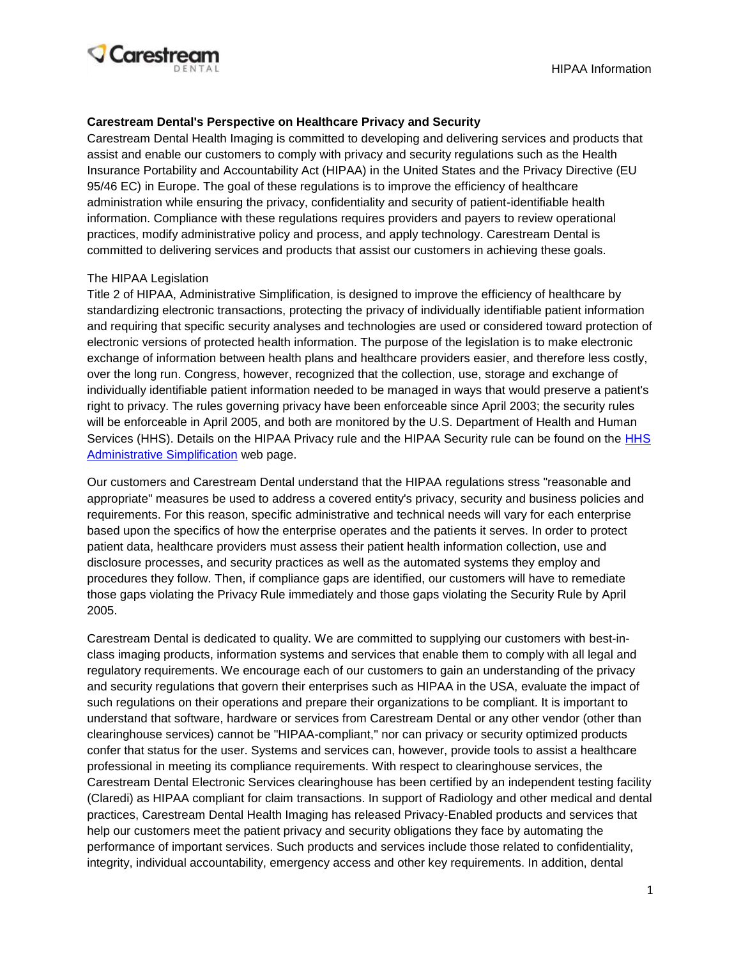

#### **Carestream Dental's Perspective on Healthcare Privacy and Security**

Carestream Dental Health Imaging is committed to developing and delivering services and products that assist and enable our customers to comply with privacy and security regulations such as the Health Insurance Portability and Accountability Act (HIPAA) in the United States and the Privacy Directive (EU 95/46 EC) in Europe. The goal of these regulations is to improve the efficiency of healthcare administration while ensuring the privacy, confidentiality and security of patient-identifiable health information. Compliance with these regulations requires providers and payers to review operational practices, modify administrative policy and process, and apply technology. Carestream Dental is committed to delivering services and products that assist our customers in achieving these goals.

#### The HIPAA Legislation

Title 2 of HIPAA, Administrative Simplification, is designed to improve the efficiency of healthcare by standardizing electronic transactions, protecting the privacy of individually identifiable patient information and requiring that specific security analyses and technologies are used or considered toward protection of electronic versions of protected health information. The purpose of the legislation is to make electronic exchange of information between health plans and healthcare providers easier, and therefore less costly, over the long run. Congress, however, recognized that the collection, use, storage and exchange of individually identifiable patient information needed to be managed in ways that would preserve a patient's right to privacy. The rules governing privacy have been enforceable since April 2003; the security rules will be enforceable in April 2005, and both are monitored by the U.S. Department of Health and Human Services (HHS). Details on the HIPAA Privacy rule and the HIPAA Security rule can be found on the HHS [Administrative Simplification](http://www.hhs.gov/ocr/privacy/hipaa/administrative/) web page.

Our customers and Carestream Dental understand that the HIPAA regulations stress "reasonable and appropriate" measures be used to address a covered entity's privacy, security and business policies and requirements. For this reason, specific administrative and technical needs will vary for each enterprise based upon the specifics of how the enterprise operates and the patients it serves. In order to protect patient data, healthcare providers must assess their patient health information collection, use and disclosure processes, and security practices as well as the automated systems they employ and procedures they follow. Then, if compliance gaps are identified, our customers will have to remediate those gaps violating the Privacy Rule immediately and those gaps violating the Security Rule by April 2005.

Carestream Dental is dedicated to quality. We are committed to supplying our customers with best-inclass imaging products, information systems and services that enable them to comply with all legal and regulatory requirements. We encourage each of our customers to gain an understanding of the privacy and security regulations that govern their enterprises such as HIPAA in the USA, evaluate the impact of such regulations on their operations and prepare their organizations to be compliant. It is important to understand that software, hardware or services from Carestream Dental or any other vendor (other than clearinghouse services) cannot be "HIPAA-compliant," nor can privacy or security optimized products confer that status for the user. Systems and services can, however, provide tools to assist a healthcare professional in meeting its compliance requirements. With respect to clearinghouse services, the Carestream Dental Electronic Services clearinghouse has been certified by an independent testing facility (Claredi) as HIPAA compliant for claim transactions. In support of Radiology and other medical and dental practices, Carestream Dental Health Imaging has released Privacy-Enabled products and services that help our customers meet the patient privacy and security obligations they face by automating the performance of important services. Such products and services include those related to confidentiality, integrity, individual accountability, emergency access and other key requirements. In addition, dental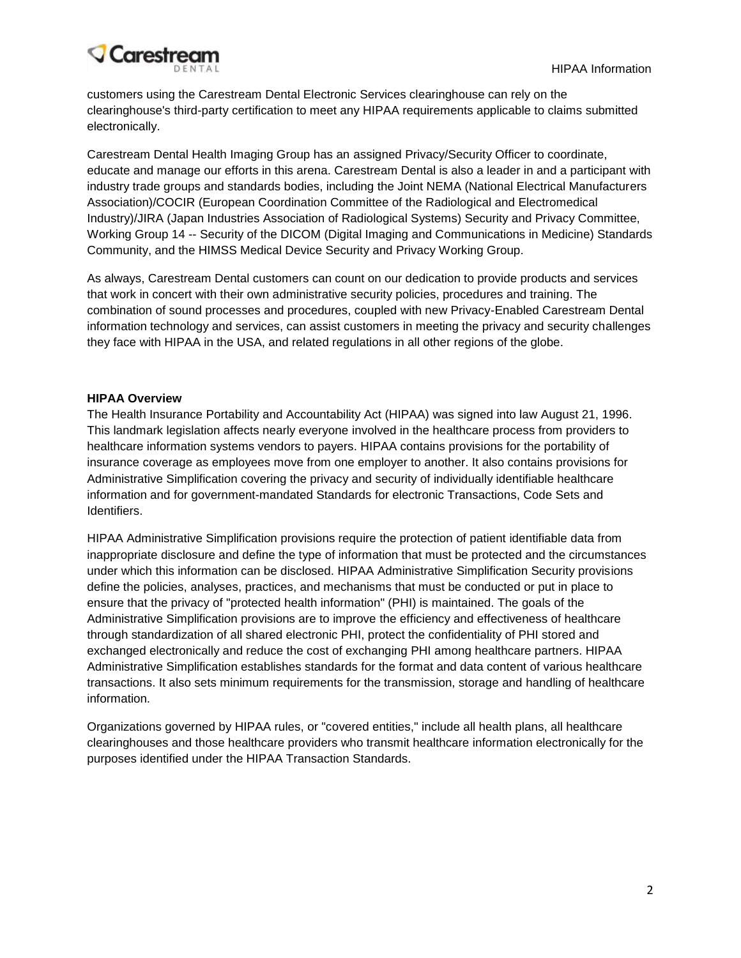# **Carestream**

customers using the Carestream Dental Electronic Services clearinghouse can rely on the clearinghouse's third-party certification to meet any HIPAA requirements applicable to claims submitted electronically.

Carestream Dental Health Imaging Group has an assigned Privacy/Security Officer to coordinate, educate and manage our efforts in this arena. Carestream Dental is also a leader in and a participant with industry trade groups and standards bodies, including the Joint NEMA (National Electrical Manufacturers Association)/COCIR (European Coordination Committee of the Radiological and Electromedical Industry)/JIRA (Japan Industries Association of Radiological Systems) Security and Privacy Committee, Working Group 14 -- Security of the DICOM (Digital Imaging and Communications in Medicine) Standards Community, and the HIMSS Medical Device Security and Privacy Working Group.

As always, Carestream Dental customers can count on our dedication to provide products and services that work in concert with their own administrative security policies, procedures and training. The combination of sound processes and procedures, coupled with new Privacy-Enabled Carestream Dental information technology and services, can assist customers in meeting the privacy and security challenges they face with HIPAA in the USA, and related regulations in all other regions of the globe.

## **HIPAA Overview**

The Health Insurance Portability and Accountability Act (HIPAA) was signed into law August 21, 1996. This landmark legislation affects nearly everyone involved in the healthcare process from providers to healthcare information systems vendors to payers. HIPAA contains provisions for the portability of insurance coverage as employees move from one employer to another. It also contains provisions for Administrative Simplification covering the privacy and security of individually identifiable healthcare information and for government-mandated Standards for electronic Transactions, Code Sets and Identifiers.

HIPAA Administrative Simplification provisions require the protection of patient identifiable data from inappropriate disclosure and define the type of information that must be protected and the circumstances under which this information can be disclosed. HIPAA Administrative Simplification Security provisions define the policies, analyses, practices, and mechanisms that must be conducted or put in place to ensure that the privacy of "protected health information" (PHI) is maintained. The goals of the Administrative Simplification provisions are to improve the efficiency and effectiveness of healthcare through standardization of all shared electronic PHI, protect the confidentiality of PHI stored and exchanged electronically and reduce the cost of exchanging PHI among healthcare partners. HIPAA Administrative Simplification establishes standards for the format and data content of various healthcare transactions. It also sets minimum requirements for the transmission, storage and handling of healthcare information.

Organizations governed by HIPAA rules, or "covered entities," include all health plans, all healthcare clearinghouses and those healthcare providers who transmit healthcare information electronically for the purposes identified under the HIPAA Transaction Standards.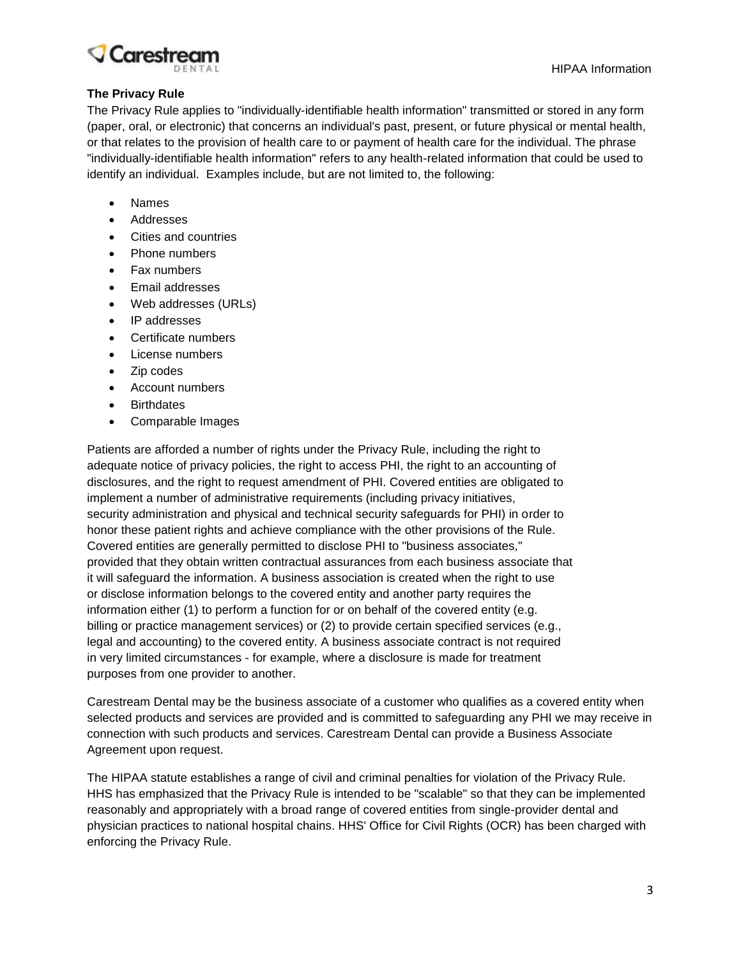

### **The Privacy Rule**

The Privacy Rule applies to "individually-identifiable health information" transmitted or stored in any form (paper, oral, or electronic) that concerns an individual's past, present, or future physical or mental health, or that relates to the provision of health care to or payment of health care for the individual. The phrase "individually-identifiable health information" refers to any health-related information that could be used to identify an individual. Examples include, but are not limited to, the following:

- Names
- Addresses
- Cities and countries
- Phone numbers
- Fax numbers
- Email addresses
- Web addresses (URLs)
- IP addresses
- Certificate numbers
- License numbers
- Zip codes
- Account numbers
- **Birthdates**
- Comparable Images

Patients are afforded a number of rights under the Privacy Rule, including the right to adequate notice of privacy policies, the right to access PHI, the right to an accounting of disclosures, and the right to request amendment of PHI. Covered entities are obligated to implement a number of administrative requirements (including privacy initiatives, security administration and physical and technical security safeguards for PHI) in order to honor these patient rights and achieve compliance with the other provisions of the Rule. Covered entities are generally permitted to disclose PHI to "business associates," provided that they obtain written contractual assurances from each business associate that it will safeguard the information. A business association is created when the right to use or disclose information belongs to the covered entity and another party requires the information either (1) to perform a function for or on behalf of the covered entity (e.g. billing or practice management services) or (2) to provide certain specified services (e.g., legal and accounting) to the covered entity. A business associate contract is not required in very limited circumstances - for example, where a disclosure is made for treatment purposes from one provider to another.

Carestream Dental may be the business associate of a customer who qualifies as a covered entity when selected products and services are provided and is committed to safeguarding any PHI we may receive in connection with such products and services. Carestream Dental can provide a Business Associate Agreement upon request.

The HIPAA statute establishes a range of civil and criminal penalties for violation of the Privacy Rule. HHS has emphasized that the Privacy Rule is intended to be "scalable" so that they can be implemented reasonably and appropriately with a broad range of covered entities from single-provider dental and physician practices to national hospital chains. HHS' Office for Civil Rights (OCR) has been charged with enforcing the Privacy Rule.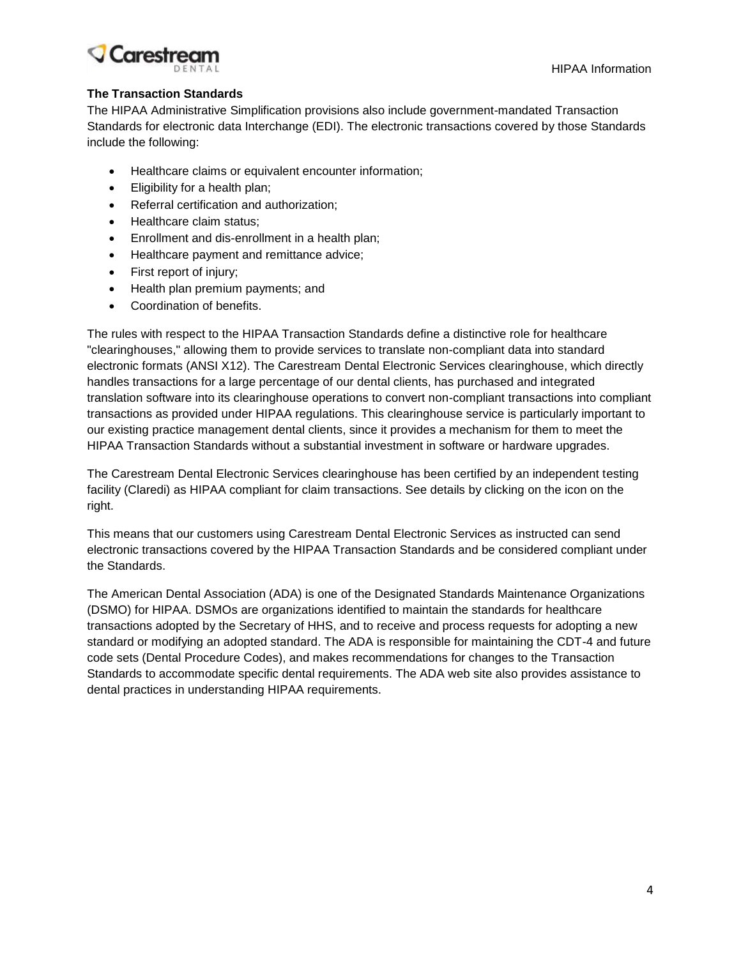HIPAA Information

## **Carestrea**

## **The Transaction Standards**

The HIPAA Administrative Simplification provisions also include government-mandated Transaction Standards for electronic data Interchange (EDI). The electronic transactions covered by those Standards include the following:

- Healthcare claims or equivalent encounter information;
- Eligibility for a health plan;
- Referral certification and authorization;
- Healthcare claim status:
- Enrollment and dis-enrollment in a health plan;
- Healthcare payment and remittance advice;
- First report of injury;
- Health plan premium payments; and
- Coordination of benefits.

The rules with respect to the HIPAA Transaction Standards define a distinctive role for healthcare "clearinghouses," allowing them to provide services to translate non-compliant data into standard electronic formats (ANSI X12). The Carestream Dental Electronic Services clearinghouse, which directly handles transactions for a large percentage of our dental clients, has purchased and integrated translation software into its clearinghouse operations to convert non-compliant transactions into compliant transactions as provided under HIPAA regulations. This clearinghouse service is particularly important to our existing practice management dental clients, since it provides a mechanism for them to meet the HIPAA Transaction Standards without a substantial investment in software or hardware upgrades.

The Carestream Dental Electronic Services clearinghouse has been certified by an independent testing facility (Claredi) as HIPAA compliant for claim transactions. See details by clicking on the icon on the right.

This means that our customers using Carestream Dental Electronic Services as instructed can send electronic transactions covered by the HIPAA Transaction Standards and be considered compliant under the Standards.

The American Dental Association (ADA) is one of the Designated Standards Maintenance Organizations (DSMO) for HIPAA. DSMOs are organizations identified to maintain the standards for healthcare transactions adopted by the Secretary of HHS, and to receive and process requests for adopting a new standard or modifying an adopted standard. The ADA is responsible for maintaining the CDT-4 and future code sets (Dental Procedure Codes), and makes recommendations for changes to the Transaction Standards to accommodate specific dental requirements. The ADA web site also provides assistance to dental practices in understanding HIPAA requirements.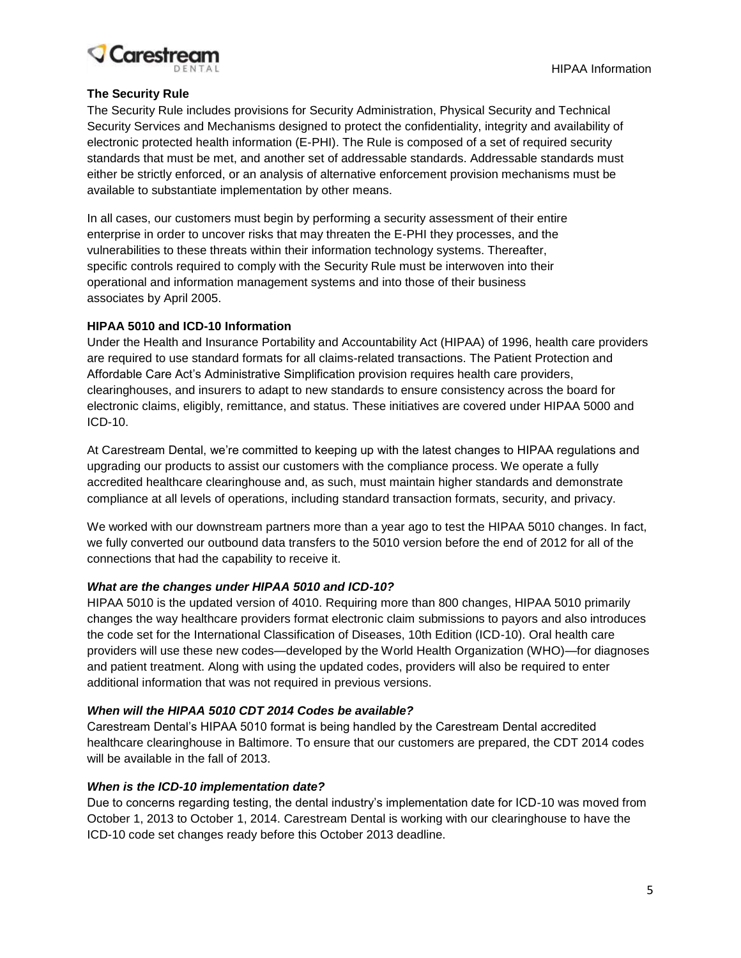

## **The Security Rule**

The Security Rule includes provisions for Security Administration, Physical Security and Technical Security Services and Mechanisms designed to protect the confidentiality, integrity and availability of electronic protected health information (E-PHI). The Rule is composed of a set of required security standards that must be met, and another set of addressable standards. Addressable standards must either be strictly enforced, or an analysis of alternative enforcement provision mechanisms must be available to substantiate implementation by other means.

In all cases, our customers must begin by performing a security assessment of their entire enterprise in order to uncover risks that may threaten the E-PHI they processes, and the vulnerabilities to these threats within their information technology systems. Thereafter, specific controls required to comply with the Security Rule must be interwoven into their operational and information management systems and into those of their business associates by April 2005.

### **HIPAA 5010 and ICD-10 Information**

Under the Health and Insurance Portability and Accountability Act (HIPAA) of 1996, health care providers are required to use standard formats for all claims-related transactions. The Patient Protection and Affordable Care Act's Administrative Simplification provision requires health care providers, clearinghouses, and insurers to adapt to new standards to ensure consistency across the board for electronic claims, eligibly, remittance, and status. These initiatives are covered under HIPAA 5000 and ICD-10.

At Carestream Dental, we're committed to keeping up with the latest changes to HIPAA regulations and upgrading our products to assist our customers with the compliance process. We operate a fully accredited healthcare clearinghouse and, as such, must maintain higher standards and demonstrate compliance at all levels of operations, including standard transaction formats, security, and privacy.

We worked with our downstream partners more than a year ago to test the HIPAA 5010 changes. In fact, we fully converted our outbound data transfers to the 5010 version before the end of 2012 for all of the connections that had the capability to receive it.

### *What are the changes under HIPAA 5010 and ICD-10?*

HIPAA 5010 is the updated version of 4010. Requiring more than 800 changes, HIPAA 5010 primarily changes the way healthcare providers format electronic claim submissions to payors and also introduces the code set for the International Classification of Diseases, 10th Edition (ICD-10). Oral health care providers will use these new codes—developed by the World Health Organization (WHO)—for diagnoses and patient treatment. Along with using the updated codes, providers will also be required to enter additional information that was not required in previous versions.

#### *When will the HIPAA 5010 CDT 2014 Codes be available?*

Carestream Dental's HIPAA 5010 format is being handled by the Carestream Dental accredited healthcare clearinghouse in Baltimore. To ensure that our customers are prepared, the CDT 2014 codes will be available in the fall of 2013.

#### *When is the ICD-10 implementation date?*

Due to concerns regarding testing, the dental industry's implementation date for ICD-10 was moved from October 1, 2013 to October 1, 2014. Carestream Dental is working with our clearinghouse to have the ICD-10 code set changes ready before this October 2013 deadline.